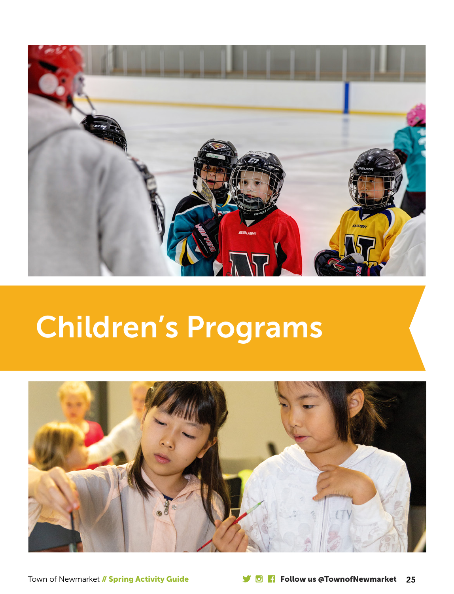

# Children's Programs

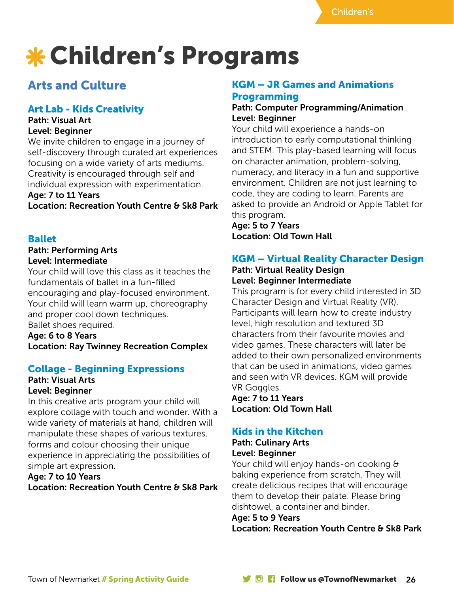# Children's Programs

# Arts and Culture

## Art Lab - Kids Creativity

#### Path: Visual Art Level: Beginner

We invite children to engage in a journey of self-discovery through curated art experiences focusing on a wide variety of arts mediums. Creativity is encouraged through self and individual expression with experimentation.

## Age: 7 to 11 Years

Location: Recreation Youth Centre & Sk8 Park

## Ballet

### Path: Performing Arts Level: Intermediate

Your child will love this class as it teaches the fundamentals of ballet in a fun-filled encouraging and play-focused environment. Your child will learn warm up, choreography and proper cool down techniques.

Ballet shoes required. Age: 6 to 8 Years

Location: Ray Twinney Recreation Complex

## Collage - Beginning Expressions

# Path: Visual Arts

## Level: Beginner

In this creative arts program your child will explore collage with touch and wonder. With a wide variety of materials at hand, children will manipulate these shapes of various textures, forms and colour choosing their unique experience in appreciating the possibilities of simple art expression.

## Age: 7 to 10 Years

Location: Recreation Youth Centre & Sk8 Park

## KGM – JR Games and Animations Programming

### Path: Computer Programming/Animation Level: Beginner

Your child will experience a hands-on introduction to early computational thinking and STEM. This play-based learning will focus on character animation, problem-solving, numeracy, and literacy in a fun and supportive environment. Children are not just learning to code, they are coding to learn. Parents are asked to provide an Android or Apple Tablet for this program.

Age: 5 to 7 Years Location: Old Town Hall

## KGM – Virtual Reality Character Design

#### Path: Virtual Reality Design Level: Beginner Intermediate

This program is for every child interested in 3D Character Design and Virtual Reality (VR). Participants will learn how to create industry level, high resolution and textured 3D characters from their favourite movies and video games. These characters will later be added to their own personalized environments that can be used in animations, video games and seen with VR devices. KGM will provide VR Goggles.

Age: 7 to 11 Years Location: Old Town Hall

## Kids in the Kitchen

#### Path: Culinary Arts Level: Beginner

Your child will enjoy hands-on cooking & baking experience from scratch. They will create delicious recipes that will encourage them to develop their palate. Please bring

## dishtowel, a container and binder.

## Age: 5 to 9 Years

Location: Recreation Youth Centre & Sk8 Park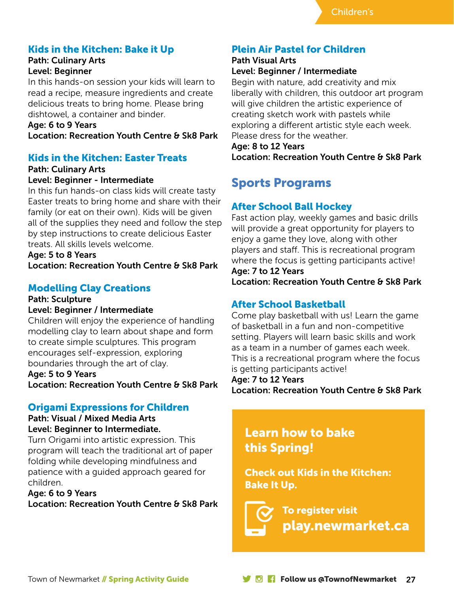## Kids in the Kitchen: Bake it Up

#### Path: Culinary Arts Level: Beginner

In this hands-on session your kids will learn to read a recipe, measure ingredients and create delicious treats to bring home. Please bring dishtowel, a container and binder.

Age: 6 to 9 Years Location: Recreation Youth Centre & Sk8 Park

## Kids in the Kitchen: Easter Treats

#### Path: Culinary Arts Level: Beginner - Intermediate

In this fun hands-on class kids will create tasty Easter treats to bring home and share with their family (or eat on their own). Kids will be given all of the supplies they need and follow the step by step instructions to create delicious Easter treats. All skills levels welcome.

Age: 5 to 8 Years

Location: Recreation Youth Centre & Sk8 Park

## Modelling Clay Creations

#### Path: Sculpture Level: Beginner / Intermediate

Children will enjoy the experience of handling modelling clay to learn about shape and form to create simple sculptures. This program encourages self-expression, exploring boundaries through the art of clay.

Age: 5 to 9 Years Location: Recreation Youth Centre & Sk8 Park

## Origami Expressions for Children

#### Path: Visual / Mixed Media Arts Level: Beginner to Intermediate.

Turn Origami into artistic expression. This program will teach the traditional art of paper folding while developing mindfulness and patience with a guided approach geared for children.

#### Age: 6 to 9 Years

Location: Recreation Youth Centre & Sk8 Park

## Plein Air Pastel for Children

# Path Visual Arts

Level: Beginner / Intermediate Begin with nature, add creativity and mix

liberally with children, this outdoor art program will give children the artistic experience of creating sketch work with pastels while exploring a different artistic style each week. Please dress for the weather.

Age: 8 to 12 Years Location: Recreation Youth Centre & Sk8 Park

# Sports Programs

## After School Ball Hockey

Fast action play, weekly games and basic drills will provide a great opportunity for players to enjoy a game they love, along with other players and staff. This is recreational program where the focus is getting participants active! Age: 7 to 12 Years

Location: Recreation Youth Centre & Sk8 Park

## After School Basketball

Come play basketball with us! Learn the game of basketball in a fun and non-competitive setting. Players will learn basic skills and work as a team in a number of games each week. This is a recreational program where the focus is getting participants active!

Age: 7 to 12 Years

Location: Recreation Youth Centre & Sk8 Park

# Learn how to bake this Spring!

Check out Kids in the Kitchen: Bake It Up.

To register visit play.newmarket.ca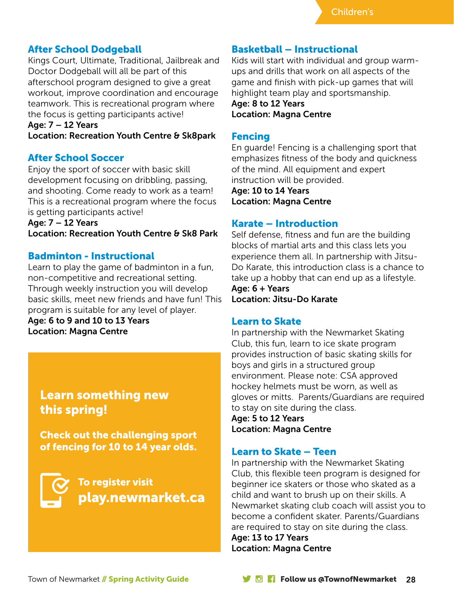## After School Dodgeball

Kings Court, Ultimate, Traditional, Jailbreak and Doctor Dodgeball will all be part of this afterschool program designed to give a great workout, improve coordination and encourage teamwork. This is recreational program where the focus is getting participants active!

#### Age: 7 – 12 Years

Location: Recreation Youth Centre & Sk8park

## After School Soccer

Enjoy the sport of soccer with basic skill development focusing on dribbling, passing, and shooting. Come ready to work as a team! This is a recreational program where the focus is getting participants active!

Age: 7 – 12 Years Location: Recreation Youth Centre & Sk8 Park

### Badminton - Instructional

Learn to play the game of badminton in a fun, non-competitive and recreational setting. Through weekly instruction you will develop basic skills, meet new friends and have fun! This program is suitable for any level of player.

Age: 6 to 9 and 10 to 13 Years Location: Magna Centre

## Learn something new this spring!

Check out the challenging sport of fencing for 10 to 14 year olds.



## Basketball – Instructional

Kids will start with individual and group warmups and drills that work on all aspects of the game and finish with pick-up games that will highlight team play and sportsmanship.

Age: 8 to 12 Years Location: Magna Centre

### Fencing

En guarde! Fencing is a challenging sport that emphasizes fitness of the body and quickness of the mind. All equipment and expert instruction will be provided.

Age: 10 to 14 Years Location: Magna Centre

## Karate – Introduction

Self defense, fitness and fun are the building blocks of martial arts and this class lets you experience them all. In partnership with Jitsu-Do Karate, this introduction class is a chance to take up a hobby that can end up as a lifestyle.

Age: 6 + Years Location: Jitsu-Do Karate

#### Learn to Skate

In partnership with the Newmarket Skating Club, this fun, learn to ice skate program provides instruction of basic skating skills for boys and girls in a structured group environment. Please note: CSA approved hockey helmets must be worn, as well as gloves or mitts. Parents/Guardians are required to stay on site during the class.

Age: 5 to 12 Years Location: Magna Centre

## Learn to Skate – Teen

In partnership with the Newmarket Skating Club, this flexible teen program is designed for beginner ice skaters or those who skated as a child and want to brush up on their skills. A Newmarket skating club coach will assist you to become a confident skater. Parents/Guardians are required to stay on site during the class.

Age: 13 to 17 Years Location: Magna Centre